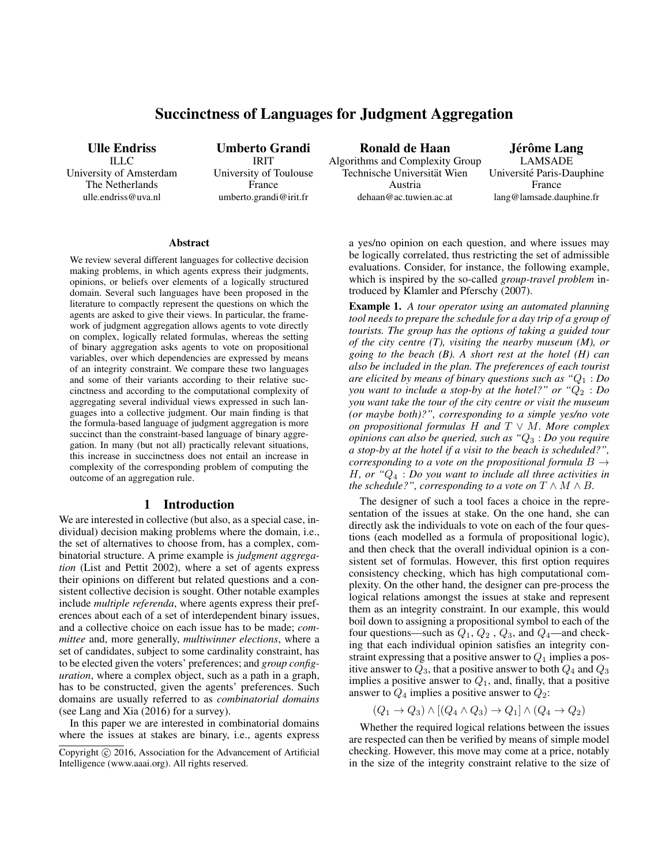# Succinctness of Languages for Judgment Aggregation

Ulle Endriss ILLC University of Amsterdam The Netherlands ulle.endriss@uva.nl

Umberto Grandi IRIT University of Toulouse France umberto.grandi@irit.fr

Ronald de Haan Algorithms and Complexity Group Technische Universität Wien Austria dehaan@ac.tuwien.ac.at

Jérôme Lang LAMSADE Universite Paris-Dauphine ´ France lang@lamsade.dauphine.fr

#### Abstract

We review several different languages for collective decision making problems, in which agents express their judgments, opinions, or beliefs over elements of a logically structured domain. Several such languages have been proposed in the literature to compactly represent the questions on which the agents are asked to give their views. In particular, the framework of judgment aggregation allows agents to vote directly on complex, logically related formulas, whereas the setting of binary aggregation asks agents to vote on propositional variables, over which dependencies are expressed by means of an integrity constraint. We compare these two languages and some of their variants according to their relative succinctness and according to the computational complexity of aggregating several individual views expressed in such languages into a collective judgment. Our main finding is that the formula-based language of judgment aggregation is more succinct than the constraint-based language of binary aggregation. In many (but not all) practically relevant situations, this increase in succinctness does not entail an increase in complexity of the corresponding problem of computing the outcome of an aggregation rule.

### 1 Introduction

We are interested in collective (but also, as a special case, individual) decision making problems where the domain, i.e., the set of alternatives to choose from, has a complex, combinatorial structure. A prime example is *judgment aggregation* (List and Pettit 2002), where a set of agents express their opinions on different but related questions and a consistent collective decision is sought. Other notable examples include *multiple referenda*, where agents express their preferences about each of a set of interdependent binary issues, and a collective choice on each issue has to be made; *committee* and, more generally, *multiwinner elections*, where a set of candidates, subject to some cardinality constraint, has to be elected given the voters' preferences; and *group configuration*, where a complex object, such as a path in a graph, has to be constructed, given the agents' preferences. Such domains are usually referred to as *combinatorial domains* (see Lang and Xia (2016) for a survey).

In this paper we are interested in combinatorial domains where the issues at stakes are binary, i.e., agents express a yes/no opinion on each question, and where issues may be logically correlated, thus restricting the set of admissible evaluations. Consider, for instance, the following example, which is inspired by the so-called *group-travel problem* introduced by Klamler and Pferschy (2007).

Example 1. *A tour operator using an automated planning tool needs to prepare the schedule for a day trip of a group of tourists. The group has the options of taking a guided tour of the city centre (T), visiting the nearby museum (M), or going to the beach (B). A short rest at the hotel (H) can also be included in the plan. The preferences of each tourist are elicited by means of binary questions such as "*Q<sup>1</sup> : *Do you want to include a stop-by at the hotel?" or "* $Q_2$  : *Do you want take the tour of the city centre or visit the museum (or maybe both)?", corresponding to a simple yes/no vote on propositional formulas* H *and* T ∨ M*. More complex opinions can also be queried, such as "*Q<sup>3</sup> : *Do you require a stop-by at the hotel if a visit to the beach is scheduled?", corresponding to a vote on the propositional formula* B → H*, or "*Q<sup>4</sup> : *Do you want to include all three activities in the schedule?", corresponding to a vote on*  $T \wedge M \wedge B$ *.* 

The designer of such a tool faces a choice in the representation of the issues at stake. On the one hand, she can directly ask the individuals to vote on each of the four questions (each modelled as a formula of propositional logic), and then check that the overall individual opinion is a consistent set of formulas. However, this first option requires consistency checking, which has high computational complexity. On the other hand, the designer can pre-process the logical relations amongst the issues at stake and represent them as an integrity constraint. In our example, this would boil down to assigning a propositional symbol to each of the four questions—such as  $Q_1$ ,  $Q_2$ ,  $Q_3$ , and  $Q_4$ —and checking that each individual opinion satisfies an integrity constraint expressing that a positive answer to  $Q_1$  implies a positive answer to  $Q_3$ , that a positive answer to both  $Q_4$  and  $Q_3$ implies a positive answer to  $Q_1$ , and, finally, that a positive answer to  $Q_4$  implies a positive answer to  $Q_2$ :

$$
(Q_1 \to Q_3) \land [(Q_4 \land Q_3) \to Q_1] \land (Q_4 \to Q_2)
$$

Whether the required logical relations between the issues are respected can then be verified by means of simple model checking. However, this move may come at a price, notably in the size of the integrity constraint relative to the size of

Copyright © 2016, Association for the Advancement of Artificial Intelligence (www.aaai.org). All rights reserved.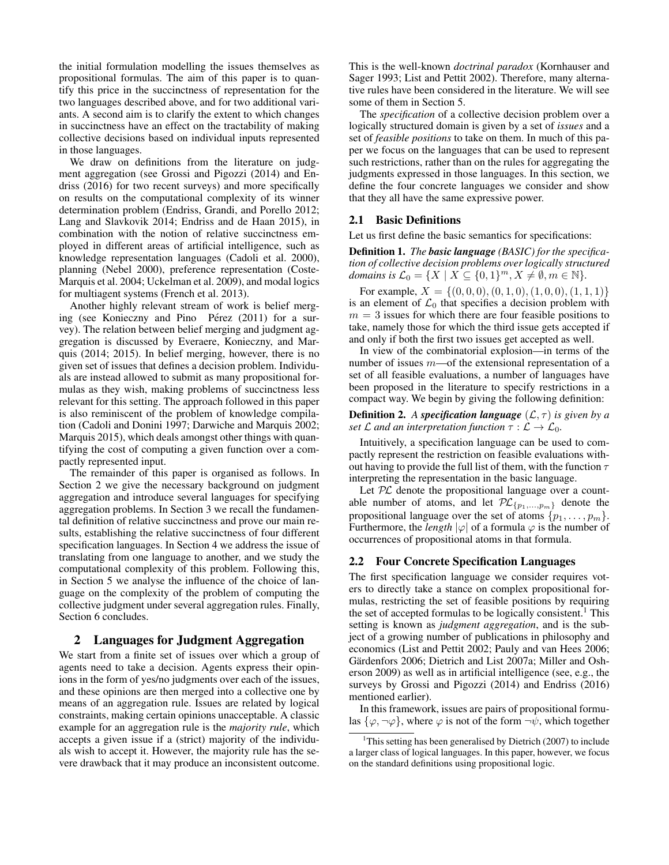the initial formulation modelling the issues themselves as propositional formulas. The aim of this paper is to quantify this price in the succinctness of representation for the two languages described above, and for two additional variants. A second aim is to clarify the extent to which changes in succinctness have an effect on the tractability of making collective decisions based on individual inputs represented in those languages.

We draw on definitions from the literature on judgment aggregation (see Grossi and Pigozzi (2014) and Endriss (2016) for two recent surveys) and more specifically on results on the computational complexity of its winner determination problem (Endriss, Grandi, and Porello 2012; Lang and Slavkovik 2014; Endriss and de Haan 2015), in combination with the notion of relative succinctness employed in different areas of artificial intelligence, such as knowledge representation languages (Cadoli et al. 2000), planning (Nebel 2000), preference representation (Coste-Marquis et al. 2004; Uckelman et al. 2009), and modal logics for multiagent systems (French et al. 2013).

Another highly relevant stream of work is belief merging (see Konieczny and Pino Pérez (2011) for a survey). The relation between belief merging and judgment aggregation is discussed by Everaere, Konieczny, and Marquis (2014; 2015). In belief merging, however, there is no given set of issues that defines a decision problem. Individuals are instead allowed to submit as many propositional formulas as they wish, making problems of succinctness less relevant for this setting. The approach followed in this paper is also reminiscent of the problem of knowledge compilation (Cadoli and Donini 1997; Darwiche and Marquis 2002; Marquis 2015), which deals amongst other things with quantifying the cost of computing a given function over a compactly represented input.

The remainder of this paper is organised as follows. In Section 2 we give the necessary background on judgment aggregation and introduce several languages for specifying aggregation problems. In Section 3 we recall the fundamental definition of relative succinctness and prove our main results, establishing the relative succinctness of four different specification languages. In Section 4 we address the issue of translating from one language to another, and we study the computational complexity of this problem. Following this, in Section 5 we analyse the influence of the choice of language on the complexity of the problem of computing the collective judgment under several aggregation rules. Finally, Section 6 concludes.

### 2 Languages for Judgment Aggregation

We start from a finite set of issues over which a group of agents need to take a decision. Agents express their opinions in the form of yes/no judgments over each of the issues, and these opinions are then merged into a collective one by means of an aggregation rule. Issues are related by logical constraints, making certain opinions unacceptable. A classic example for an aggregation rule is the *majority rule*, which accepts a given issue if a (strict) majority of the individuals wish to accept it. However, the majority rule has the severe drawback that it may produce an inconsistent outcome. This is the well-known *doctrinal paradox* (Kornhauser and Sager 1993; List and Pettit 2002). Therefore, many alternative rules have been considered in the literature. We will see some of them in Section 5.

The *specification* of a collective decision problem over a logically structured domain is given by a set of *issues* and a set of *feasible positions* to take on them. In much of this paper we focus on the languages that can be used to represent such restrictions, rather than on the rules for aggregating the judgments expressed in those languages. In this section, we define the four concrete languages we consider and show that they all have the same expressive power.

#### 2.1 Basic Definitions

Let us first define the basic semantics for specifications:

Definition 1. *The basic language (BASIC) for the specification of collective decision problems over logically structured domains is*  $\mathcal{L}_0 = \{X \mid X \subseteq \{0,1\}^m, X \neq \emptyset, m \in \mathbb{N}\}.$ 

For example,  $X = \{(0, 0, 0), (0, 1, 0), (1, 0, 0), (1, 1, 1)\}\$ is an element of  $\mathcal{L}_0$  that specifies a decision problem with  $m = 3$  issues for which there are four feasible positions to take, namely those for which the third issue gets accepted if and only if both the first two issues get accepted as well.

In view of the combinatorial explosion—in terms of the number of issues  $m$ —of the extensional representation of a set of all feasible evaluations, a number of languages have been proposed in the literature to specify restrictions in a compact way. We begin by giving the following definition:

**Definition 2.** *A specification language*  $(L, \tau)$  *is given by a set*  $\mathcal L$  *and an interpretation function*  $\tau : \mathcal L \to \mathcal L_0$ *.* 

Intuitively, a specification language can be used to compactly represent the restriction on feasible evaluations without having to provide the full list of them, with the function  $\tau$ interpreting the representation in the basic language.

Let  $PL$  denote the propositional language over a countable number of atoms, and let  $\mathcal{PL}_{\{p_1,...,p_m\}}$  denote the propositional language over the set of atoms  $\{p_1, \ldots, p_m\}.$ Furthermore, the *length*  $|\varphi|$  of a formula  $\varphi$  is the number of occurrences of propositional atoms in that formula.

### 2.2 Four Concrete Specification Languages

The first specification language we consider requires voters to directly take a stance on complex propositional formulas, restricting the set of feasible positions by requiring the set of accepted formulas to be logically consistent.<sup>1</sup> This setting is known as *judgment aggregation*, and is the subject of a growing number of publications in philosophy and economics (List and Pettit 2002; Pauly and van Hees 2006; Gärdenfors 2006; Dietrich and List 2007a; Miller and Osherson 2009) as well as in artificial intelligence (see, e.g., the surveys by Grossi and Pigozzi (2014) and Endriss (2016) mentioned earlier).

In this framework, issues are pairs of propositional formulas  $\{\varphi, \neg \varphi\}$ , where  $\varphi$  is not of the form  $\neg \psi$ , which together

<sup>&</sup>lt;sup>1</sup>This setting has been generalised by Dietrich  $(2007)$  to include a larger class of logical languages. In this paper, however, we focus on the standard definitions using propositional logic.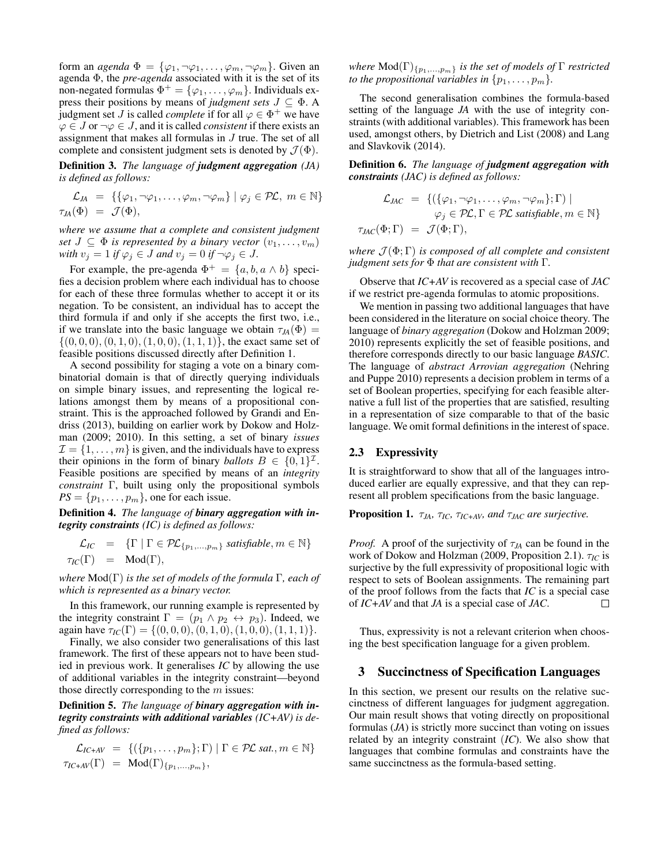form an *agenda*  $\Phi = {\varphi_1, \neg \varphi_1, \dots, \varphi_m, \neg \varphi_m}$ . Given an agenda Φ, the *pre-agenda* associated with it is the set of its non-negated formulas  $\Phi^+ = {\varphi_1, \ldots, \varphi_m}$ . Individuals express their positions by means of *judgment sets*  $J \subseteq \Phi$ . A judgment set *J* is called *complete* if for all  $\varphi \in \Phi^+$  we have  $\varphi \in J$  or  $\neg \varphi \in J$ , and it is called *consistent* if there exists an assignment that makes all formulas in J true. The set of all complete and consistent judgment sets is denoted by  $\mathcal{J}(\Phi)$ .

Definition 3. *The language of judgment aggregation (JA) is defined as follows:*

$$
\mathcal{L}_{JA} = \{ \{ \varphi_1, \neg \varphi_1, \dots, \varphi_m, \neg \varphi_m \} \mid \varphi_j \in \mathcal{PL}, m \in \mathbb{N} \}
$$
  

$$
\tau_{JA}(\Phi) = \mathcal{J}(\Phi),
$$

*where we assume that a complete and consistent judgment set*  $J \subseteq \Phi$  *is represented by a binary vector*  $(v_1, \ldots, v_m)$ *with*  $v_j = 1$  *if*  $\varphi_j \in J$  *and*  $v_j = 0$  *if*  $\neg \varphi_j \in J$ *.* 

For example, the pre-agenda  $\Phi^+ = \{a, b, a \wedge b\}$  specifies a decision problem where each individual has to choose for each of these three formulas whether to accept it or its negation. To be consistent, an individual has to accept the third formula if and only if she accepts the first two, i.e., if we translate into the basic language we obtain  $\tau_{JA}(\Phi)$  =  $\{(0, 0, 0), (0, 1, 0), (1, 0, 0), (1, 1, 1)\},$  the exact same set of feasible positions discussed directly after Definition 1.

A second possibility for staging a vote on a binary combinatorial domain is that of directly querying individuals on simple binary issues, and representing the logical relations amongst them by means of a propositional constraint. This is the approached followed by Grandi and Endriss (2013), building on earlier work by Dokow and Holzman (2009; 2010). In this setting, a set of binary *issues*  $\mathcal{I} = \{1, \ldots, m\}$  is given, and the individuals have to express their opinions in the form of binary *ballots*  $B \in \{0,1\}^{\mathcal{I}}$ . Feasible positions are specified by means of an *integrity constraint* Γ, built using only the propositional symbols  $PS = \{p_1, \ldots, p_m\}$ , one for each issue.

Definition 4. *The language of binary aggregation with integrity constraints (IC) is defined as follows:*

$$
\mathcal{L}_{IC} = \{ \Gamma \mid \Gamma \in \mathcal{PL}_{\{p_1, \dots, p_m\}} \text{ satisfies } m \in \mathbb{N} \}
$$
  

$$
\tau_{IC}(\Gamma) = \text{Mod}(\Gamma),
$$

*where* Mod(Γ) *is the set of models of the formula* Γ*, each of which is represented as a binary vector.*

In this framework, our running example is represented by the integrity constraint  $\Gamma = (p_1 \wedge p_2 \leftrightarrow p_3)$ . Indeed, we again have  $\tau_{IC}(\Gamma) = \{(0, 0, 0), (0, 1, 0), (1, 0, 0), (1, 1, 1)\}.$ 

Finally, we also consider two generalisations of this last framework. The first of these appears not to have been studied in previous work. It generalises *IC* by allowing the use of additional variables in the integrity constraint—beyond those directly corresponding to the  $m$  issues:

Definition 5. *The language of binary aggregation with integrity constraints with additional variables (IC+AV) is defined as follows:*

$$
\mathcal{L}_{IC+AV} = \{ (\{p_1, \ldots, p_m\}; \Gamma) \mid \Gamma \in \mathcal{PL} \text{ sat.}, m \in \mathbb{N} \}
$$
  

$$
\tau_{IC+AV}(\Gamma) = \text{Mod}(\Gamma)_{\{p_1, \ldots, p_m\}},
$$

*where*  $\text{Mod}(\Gamma)_{\{p_1,\ldots,p_m\}}$  *is the set of models of*  $\Gamma$  *restricted to the propositional variables in*  $\{p_1, \ldots, p_m\}$ .

The second generalisation combines the formula-based setting of the language *JA* with the use of integrity constraints (with additional variables). This framework has been used, amongst others, by Dietrich and List (2008) and Lang and Slavkovik (2014).

Definition 6. *The language of judgment aggregation with constraints (JAC) is defined as follows:*

$$
\mathcal{L}_{JAC} = \{ (\{\varphi_1, \neg \varphi_1, \dots, \varphi_m, \neg \varphi_m\}; \Gamma) \mid \n\varphi_j \in \mathcal{PL}, \Gamma \in \mathcal{PL} \text{ satisfiable}, m \in \mathbb{N} \}
$$
\n
$$
\tau_{JAC}(\Phi; \Gamma) = \mathcal{J}(\Phi; \Gamma),
$$

*where*  $\mathcal{J}(\Phi; \Gamma)$  *is composed of all complete and consistent judgment sets for* Φ *that are consistent with* Γ*.*

Observe that *IC+AV* is recovered as a special case of *JAC* if we restrict pre-agenda formulas to atomic propositions.

We mention in passing two additional languages that have been considered in the literature on social choice theory. The language of *binary aggregation* (Dokow and Holzman 2009; 2010) represents explicitly the set of feasible positions, and therefore corresponds directly to our basic language *BASIC*. The language of *abstract Arrovian aggregation* (Nehring and Puppe 2010) represents a decision problem in terms of a set of Boolean properties, specifying for each feasible alternative a full list of the properties that are satisfied, resulting in a representation of size comparable to that of the basic language. We omit formal definitions in the interest of space.

### 2.3 Expressivity

It is straightforward to show that all of the languages introduced earlier are equally expressive, and that they can represent all problem specifications from the basic language.

**Proposition 1.**  $\tau_{JA}$ ,  $\tau_{IC}$ ,  $\tau_{IC+AV}$ , and  $\tau_{JAC}$  are surjective.

*Proof.* A proof of the surjectivity of  $\tau_{JA}$  can be found in the work of Dokow and Holzman (2009, Proposition 2.1). τ*IC* is surjective by the full expressivity of propositional logic with respect to sets of Boolean assignments. The remaining part of the proof follows from the facts that *IC* is a special case of *IC+AV* and that *JA* is a special case of *JAC*.  $\Box$ 

Thus, expressivity is not a relevant criterion when choosing the best specification language for a given problem.

### 3 Succinctness of Specification Languages

In this section, we present our results on the relative succinctness of different languages for judgment aggregation. Our main result shows that voting directly on propositional formulas (*JA*) is strictly more succinct than voting on issues related by an integrity constraint (*IC*). We also show that languages that combine formulas and constraints have the same succinctness as the formula-based setting.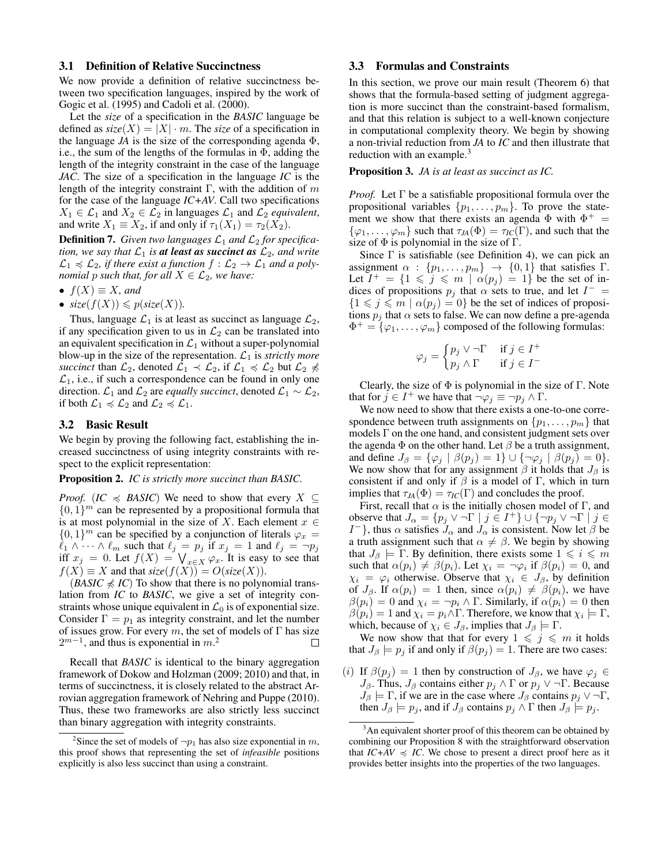#### 3.1 Definition of Relative Succinctness

We now provide a definition of relative succinctness between two specification languages, inspired by the work of Gogic et al. (1995) and Cadoli et al. (2000).

Let the *size* of a specification in the *BASIC* language be defined as  $size(X) = |X| \cdot m$ . The *size* of a specification in the language  $JA$  is the size of the corresponding agenda  $\Phi$ , i.e., the sum of the lengths of the formulas in  $\Phi$ , adding the length of the integrity constraint in the case of the language *JAC*. The size of a specification in the language *IC* is the length of the integrity constraint Γ, with the addition of  $m$ for the case of the language *IC+AV*. Call two specifications  $X_1 \in \mathcal{L}_1$  and  $X_2 \in \mathcal{L}_2$  in languages  $\mathcal{L}_1$  and  $\mathcal{L}_2$  *equivalent*, and write  $X_1 \equiv X_2$ , if and only if  $\tau_1(X_1) = \tau_2(X_2)$ .

**Definition 7.** Given two languages  $\mathcal{L}_1$  and  $\mathcal{L}_2$  for specifica*tion, we say that*  $\mathcal{L}_1$  *is at least as succinct as*  $\mathcal{L}_2$ *, and write*  $\mathcal{L}_1 \preccurlyeq \mathcal{L}_2$ , if there exist a function  $f : \mathcal{L}_2 \to \mathcal{L}_1$  and a poly*nomial p such that, for all*  $X \in \mathcal{L}_2$ *, we have:* 

- $f(X) \equiv X$ *, and*
- $size(f(X)) \leqslant p(size(X)).$

Thus, language  $\mathcal{L}_1$  is at least as succinct as language  $\mathcal{L}_2$ , if any specification given to us in  $\mathcal{L}_2$  can be translated into an equivalent specification in  $\mathcal{L}_1$  without a super-polynomial blow-up in the size of the representation.  $\mathcal{L}_1$  is *strictly more succinct* than  $\mathcal{L}_2$ , denoted  $\mathcal{L}_1 \prec \mathcal{L}_2$ , if  $\mathcal{L}_1 \preccurlyeq \mathcal{L}_2$  but  $\mathcal{L}_2 \preccurlyeq$  $\mathcal{L}_1$ , i.e., if such a correspondence can be found in only one direction.  $\mathcal{L}_1$  and  $\mathcal{L}_2$  are *equally succinct*, denoted  $\mathcal{L}_1 \sim \mathcal{L}_2$ , if both  $\mathcal{L}_1 \preccurlyeq \mathcal{L}_2$  and  $\mathcal{L}_2 \preccurlyeq \mathcal{L}_1$ .

### 3.2 Basic Result

We begin by proving the following fact, establishing the increased succinctness of using integrity constraints with respect to the explicit representation:

#### Proposition 2. *IC is strictly more succinct than BASIC.*

*Proof.* (*IC*  $\leq$  *BASIC*) We need to show that every  $X \subseteq$  $\{0, 1\}^m$  can be represented by a propositional formula that is at most polynomial in the size of X. Each element  $x \in$  $\{0, 1\}^m$  can be specified by a conjunction of literals  $\varphi_x =$  $\ell_1 \wedge \cdots \wedge \ell_m$  such that  $\ell_j = p_j$  if  $x_j = 1$  and  $\ell_j = \neg p_j$ iff  $x_j = 0$ . Let  $f(X) = \bigvee_{x \in X} \varphi_x$ . It is easy to see that  $f(X) \equiv X$  and that  $size(f(X)) = O(size(X)).$ 

 $(BASIC \nless IC)$  To show that there is no polynomial translation from *IC* to *BASIC*, we give a set of integrity constraints whose unique equivalent in  $\mathcal{L}_0$  is of exponential size. Consider  $\Gamma = p_1$  as integrity constraint, and let the number of issues grow. For every m, the set of models of  $\Gamma$  has size  $2^{m-1}$ , and thus is exponential in m.<sup>2</sup>  $\Box$ 

Recall that *BASIC* is identical to the binary aggregation framework of Dokow and Holzman (2009; 2010) and that, in terms of succinctness, it is closely related to the abstract Arrovian aggregation framework of Nehring and Puppe (2010). Thus, these two frameworks are also strictly less succinct than binary aggregation with integrity constraints.

### 3.3 Formulas and Constraints

In this section, we prove our main result (Theorem 6) that shows that the formula-based setting of judgment aggregation is more succinct than the constraint-based formalism, and that this relation is subject to a well-known conjecture in computational complexity theory. We begin by showing a non-trivial reduction from *JA* to *IC* and then illustrate that reduction with an example.<sup>3</sup>

Proposition 3. *JA is at least as succinct as IC.*

*Proof.* Let  $\Gamma$  be a satisfiable propositional formula over the propositional variables  $\{p_1, \ldots, p_m\}$ . To prove the statement we show that there exists an agenda  $\Phi$  with  $\Phi^+$  =  $\{\varphi_1, \ldots, \varphi_m\}$  such that  $\tau_{JA}(\Phi) = \tau_{IC}(\Gamma)$ , and such that the size of  $\Phi$  is polynomial in the size of  $\Gamma$ .

Since  $\Gamma$  is satisfiable (see Definition 4), we can pick an assignment  $\alpha$  :  $\{p_1, \ldots, p_m\}$   $\rightarrow$   $\{0, 1\}$  that satisfies  $\Gamma$ . Let  $I^+=\{1 \leq j \leq m \mid \alpha(p_j)=1\}$  be the set of indices of propositions  $p_j$  that  $\alpha$  sets to true, and let  $I^-$  =  ${1 \leq j \leq m \mid \alpha(p_j) = 0}$  be the set of indices of propositions  $p_i$  that  $\alpha$  sets to false. We can now define a pre-agenda  $\Phi^+ = {\varphi_1, \ldots, \varphi_m}$  composed of the following formulas:

$$
\varphi_j = \begin{cases} p_j \vee \neg \Gamma & \text{if } j \in I^+ \\ p_j \wedge \Gamma & \text{if } j \in I^- \end{cases}
$$

Clearly, the size of  $\Phi$  is polynomial in the size of  $\Gamma$ . Note that for  $j \in I^+$  we have that  $\neg \varphi_j \equiv \neg p_j \wedge \Gamma$ .

We now need to show that there exists a one-to-one correspondence between truth assignments on  $\{p_1, \ldots, p_m\}$  that models  $\Gamma$  on the one hand, and consistent judgment sets over the agenda  $\Phi$  on the other hand. Let  $\beta$  be a truth assignment, and define  $J_\beta = {\varphi_j \mid \beta(p_j) = 1} \cup {\neg \varphi_j \mid \beta(p_j) = 0}.$ We now show that for any assignment  $\beta$  it holds that  $J_{\beta}$  is consistent if and only if  $\beta$  is a model of Γ, which in turn implies that  $\tau_{JA}(\Phi) = \tau_{IC}(\Gamma)$  and concludes the proof.

First, recall that  $\alpha$  is the initially chosen model of  $\Gamma$ , and observe that  $J_{\alpha} = \{p_j \vee \neg \Gamma \mid j \in I^+\} \cup \{\neg p_j \vee \neg \Gamma \mid j \in I\}$  $I^-\}$ , thus  $\alpha$  satisfies  $J_{\alpha}$  and  $J_{\alpha}$  is consistent. Now let  $\beta$  be a truth assignment such that  $\alpha \neq \beta$ . We begin by showing that  $J_\beta \models \Gamma$ . By definition, there exists some  $1 \leqslant i \leqslant m$ such that  $\alpha(p_i) \neq \beta(p_i)$ . Let  $\chi_i = \neg \varphi_i$  if  $\beta(p_i) = 0$ , and  $\chi_i = \varphi_i$  otherwise. Observe that  $\chi_i \in J_\beta$ , by definition of  $J_\beta$ . If  $\alpha(p_i) = 1$  then, since  $\alpha(p_i) \neq \beta(p_i)$ , we have  $\beta(p_i) = 0$  and  $\chi_i = \neg p_i \wedge \Gamma$ . Similarly, if  $\alpha(p_i) = 0$  then  $\beta(p_i) = 1$  and  $\chi_i = p_i \wedge \Gamma$ . Therefore, we know that  $\chi_i \models \Gamma$ , which, because of  $\chi_i \in J_\beta$ , implies that  $J_\beta \models \Gamma$ .

We now show that that for every  $1 \leq j \leq m$  it holds that  $J_\beta \models p_i$  if and only if  $\beta(p_i) = 1$ . There are two cases:

(i) If  $\beta(p_j) = 1$  then by construction of  $J_\beta$ , we have  $\varphi_j \in$  $J_\beta$ . Thus,  $J_\beta$  contains either  $p_j \wedge \Gamma$  or  $p_j \vee \neg \Gamma$ . Because  $J_\beta \models \Gamma$ , if we are in the case where  $J_\beta$  contains  $p_j \vee \neg \Gamma$ , then  $J_\beta \models p_j$ , and if  $J_\beta$  contains  $p_j \wedge \Gamma$  then  $J_\beta \models p_j$ .

<sup>&</sup>lt;sup>2</sup>Since the set of models of  $\neg p_1$  has also size exponential in m, this proof shows that representing the set of *infeasible* positions explicitly is also less succinct than using a constraint.

<sup>&</sup>lt;sup>3</sup>An equivalent shorter proof of this theorem can be obtained by combining our Proposition 8 with the straightforward observation that  $IC+AV \preccurlyeq IC$ . We chose to present a direct proof here as it provides better insights into the properties of the two languages.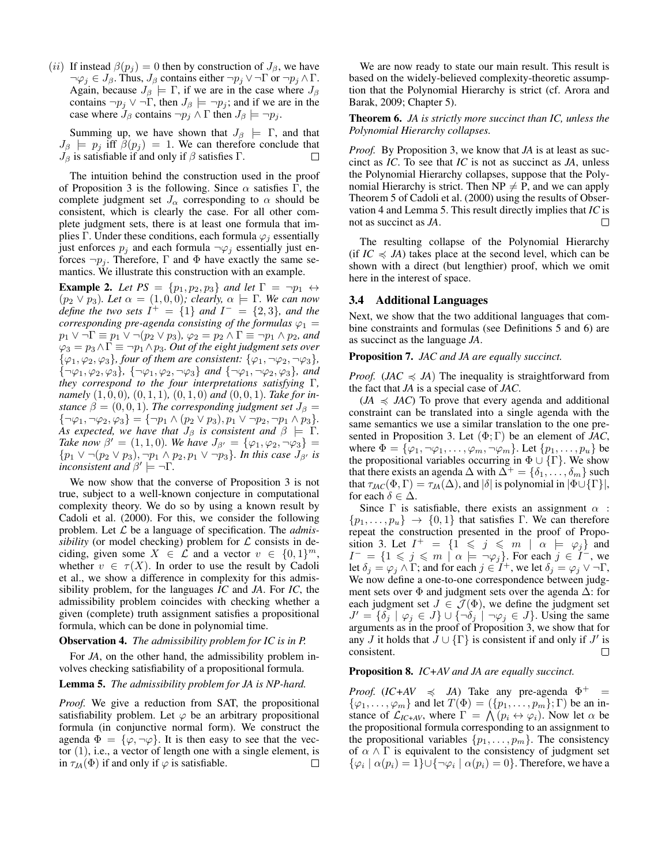(ii) If instead  $\beta(p_i) = 0$  then by construction of  $J_\beta$ , we have  $\neg \varphi_j \in J_\beta$ . Thus,  $J_\beta$  contains either  $\neg p_j \vee \neg \Gamma$  or  $\neg p_j \wedge \Gamma$ . Again, because  $J_\beta \models \Gamma$ , if we are in the case where  $J_\beta$ contains  $\neg p_j \lor \neg \Gamma$ , then  $J_\beta \models \neg p_j$ ; and if we are in the case where  $J_\beta$  contains  $\neg p_j \wedge \Gamma$  then  $J_\beta \models \neg p_j$ .

Summing up, we have shown that  $J_\beta \models \Gamma$ , and that  $J_\beta$   $\models$   $p_j$  iff  $\beta(p_j) = 1$ . We can therefore conclude that  $J_\beta$  is satisfiable if and only if  $\beta$  satisfies  $\Gamma$ .  $\Box$ 

The intuition behind the construction used in the proof of Proposition 3 is the following. Since  $\alpha$  satisfies Γ, the complete judgment set  $J_{\alpha}$  corresponding to  $\alpha$  should be consistent, which is clearly the case. For all other complete judgment sets, there is at least one formula that implies Γ. Under these conditions, each formula  $\varphi_i$  essentially just enforces  $p_j$  and each formula  $\neg \varphi_j$  essentially just enforces  $\neg p_i$ . Therefore, Γ and Φ have exactly the same semantics. We illustrate this construction with an example.

**Example 2.** Let  $PS = \{p_1, p_2, p_3\}$  and let  $\Gamma = \neg p_1 \leftrightarrow \Gamma$  $(p_2 \vee p_3)$ *. Let*  $\alpha = (1, 0, 0)$ *; clearly,*  $\alpha \models \Gamma$ *. We can now define the two sets*  $I^+ = \{1\}$  *and*  $I^- = \{2,3\}$ *, and the corresponding pre-agenda consisting of the formulas*  $\varphi_1$  =  $p_1 \vee \neg \Gamma \equiv p_1 \vee \neg (p_2 \vee p_3), \varphi_2 = p_2 \wedge \Gamma \equiv \neg p_1 \wedge p_2, \text{ and }$  $\varphi_3 = p_3 \wedge \Gamma \equiv \neg p_1 \wedge p_3$ *. Out of the eight judgment sets over*  $\{\varphi_1, \varphi_2, \varphi_3\}$ , four of them are consistent:  $\{\varphi_1, \neg \varphi_2, \neg \varphi_3\}$ ,  $\{\neg \varphi_1, \varphi_2, \varphi_3\}$ ,  $\{\neg \varphi_1, \varphi_2, \neg \varphi_3\}$  *and*  $\{\neg \varphi_1, \neg \varphi_2, \varphi_3\}$ *, and they correspond to the four interpretations satisfying* Γ*, namely* (1, 0, 0)*,* (0, 1, 1)*,* (0, 1, 0) *and* (0, 0, 1)*. Take for instance*  $\beta = (0, 0, 1)$ *. The corresponding judgment set*  $J_{\beta} =$  ${\neg \varphi_1, \neg \varphi_2, \varphi_3} = {\neg p_1 \land (p_2 \lor p_3), p_1 \lor \neg p_2, \neg p_1 \land p_3}.$ *As expected, we have that*  $J_\beta$  *is consistent and*  $\beta \models \Gamma$ *. Take now*  $\beta' = (1, 1, 0)$ *. We have*  $J_{\beta'} = {\varphi_1, \varphi_2, \neg \varphi_3}$  =  $\{p_1 \vee \neg (p_2 \vee p_3), \neg p_1 \wedge p_2, p_1 \vee \neg p_3\}$ *. In this case*  $J_{\beta'}$  *is inconsistent and*  $\beta' \models \neg \Gamma$ *.* 

We now show that the converse of Proposition 3 is not true, subject to a well-known conjecture in computational complexity theory. We do so by using a known result by Cadoli et al. (2000). For this, we consider the following problem. Let L be a language of specification. The *admissibility* (or model checking) problem for  $\mathcal L$  consists in deciding, given some  $X \in \mathcal{L}$  and a vector  $v \in \{0,1\}^m$ , whether  $v \in \tau(X)$ . In order to use the result by Cadoli et al., we show a difference in complexity for this admissibility problem, for the languages *IC* and *JA*. For *IC*, the admissibility problem coincides with checking whether a given (complete) truth assignment satisfies a propositional formula, which can be done in polynomial time.

#### Observation 4. *The admissibility problem for IC is in P.*

For *JA*, on the other hand, the admissibility problem involves checking satisfiability of a propositional formula.

### Lemma 5. *The admissibility problem for JA is NP-hard.*

*Proof.* We give a reduction from SAT, the propositional satisfiability problem. Let  $\varphi$  be an arbitrary propositional formula (in conjunctive normal form). We construct the agenda  $\Phi = {\varphi, \neg \varphi}$ . It is then easy to see that the vector (1), i.e., a vector of length one with a single element, is in  $\tau_{JA}(\Phi)$  if and only if  $\varphi$  is satisfiable.  $\Box$ 

We are now ready to state our main result. This result is based on the widely-believed complexity-theoretic assumption that the Polynomial Hierarchy is strict (cf. Arora and Barak, 2009; Chapter 5).

### Theorem 6. *JA is strictly more succinct than IC, unless the Polynomial Hierarchy collapses.*

*Proof.* By Proposition 3, we know that *JA* is at least as succinct as *IC*. To see that *IC* is not as succinct as *JA*, unless the Polynomial Hierarchy collapses, suppose that the Polynomial Hierarchy is strict. Then  $NP \neq P$ , and we can apply Theorem 5 of Cadoli et al. (2000) using the results of Observation 4 and Lemma 5. This result directly implies that *IC* is not as succinct as *JA*.

The resulting collapse of the Polynomial Hierarchy (if  $IC \leq A$ ) takes place at the second level, which can be shown with a direct (but lengthier) proof, which we omit here in the interest of space.

### 3.4 Additional Languages

Next, we show that the two additional languages that combine constraints and formulas (see Definitions 5 and 6) are as succinct as the language *JA*.

Proposition 7. *JAC and JA are equally succinct.*

*Proof.* (*JAC*  $\leq$  *JA*) The inequality is straightforward from the fact that *JA* is a special case of *JAC*.

 $(JA \preccurlyeq JAC)$  To prove that every agenda and additional constraint can be translated into a single agenda with the same semantics we use a similar translation to the one presented in Proposition 3. Let (Φ; Γ) be an element of *JAC*, where  $\Phi = {\varphi_1, \neg \varphi_1, \dots, \varphi_m, \neg \varphi_m}$ . Let  ${\lbrace p_1, \dots, p_u \rbrace}$  be the propositional variables occurring in  $\Phi \cup {\Gamma}$ . We show that there exists an agenda  $\Delta$  with  $\Delta^+ = \{\delta_1, \ldots, \delta_m\}$  such that  $\tau_{JAC}(\Phi, \Gamma) = \tau_{JA}(\Delta)$ , and  $|\delta|$  is polynomial in  $|\Phi \cup {\Gamma}|$ , for each  $\delta \in \Delta$ .

Since  $\Gamma$  is satisfiable, there exists an assignment  $\alpha$  :  $\{p_1, \ldots, p_u\}$   $\rightarrow$   $\{0, 1\}$  that satisfies Γ. We can therefore repeat the construction presented in the proof of Proposition 3. Let  $I^+ = \{1 \le j \le m \mid \alpha \models \varphi_j\}$  and  $I^{-} = \{1 \leq j \leq m \mid \alpha \models \neg \varphi_j\}$ . For each  $j \in I^{-}$ , we let  $\delta_j = \varphi_j \wedge \Gamma$ ; and for each  $j \in I^+$ , we let  $\delta_j = \varphi_j \vee \neg \Gamma$ , We now define a one-to-one correspondence between judgment sets over Φ and judgment sets over the agenda ∆: for each judgment set  $J \in \mathcal{J}(\Phi)$ , we define the judgment set  $J' = \{\delta_j \mid \varphi_j \in J\} \cup \{\neg \delta_j \mid \neg \varphi_j \in J\}$ . Using the same arguments as in the proof of Proposition 3, we show that for any *J* it holds that  $\bar{J} \cup \{\Gamma\}$  is consistent if and only if  $J'$  is consistent.  $\Box$ 

### Proposition 8. *IC+AV and JA are equally succinct.*

*Proof.* (*IC*+*AV*  $\leq$  *JA*) Take any pre-agenda  $\Phi^+$  =  $\{\varphi_1, \ldots, \varphi_m\}$  and let  $T(\Phi) = (\{p_1, \ldots, p_m\}; \Gamma)$  be an instance of  $\mathcal{L}_{IC+AV}$ , where  $\Gamma = \bigwedge (p_i \leftrightarrow \varphi_i)$ . Now let  $\alpha$  be the propositional formula corresponding to an assignment to the propositional variables  $\{p_1, \ldots, p_m\}$ . The consistency of  $\alpha \wedge \Gamma$  is equivalent to the consistency of judgment set  $\{\varphi_i \mid \alpha(p_i) = 1\} \cup \{\neg \varphi_i \mid \alpha(p_i) = 0\}.$  Therefore, we have a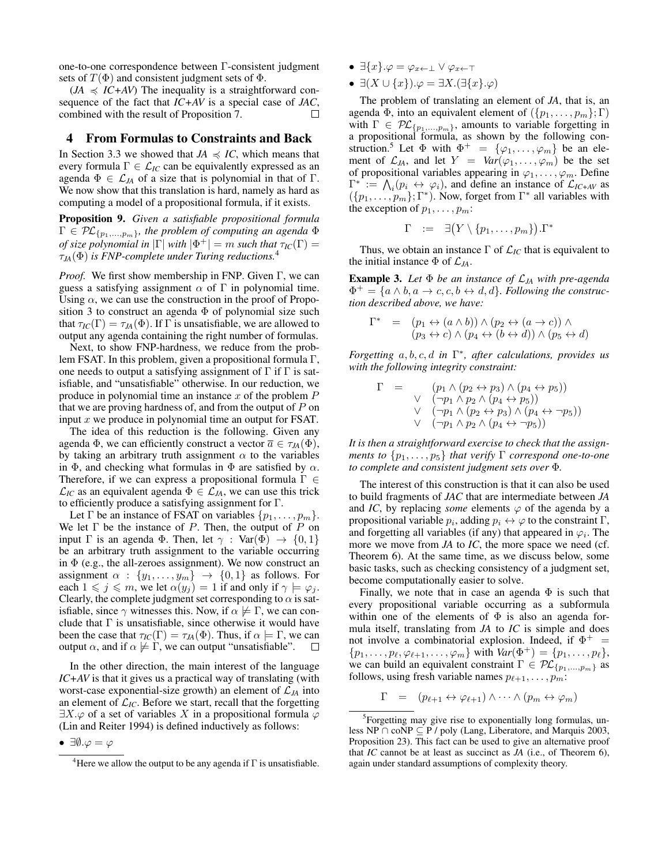one-to-one correspondence between Γ-consistent judgment sets of  $T(\Phi)$  and consistent judgment sets of  $\Phi$ .

 $(JA \preccurlyeq IC+AV)$  The inequality is a straightforward consequence of the fact that *IC+AV* is a special case of *JAC*, combined with the result of Proposition 7.  $\Box$ 

### 4 From Formulas to Constraints and Back

In Section 3.3 we showed that  $JA \preccurlyeq IC$ , which means that every formula  $\Gamma \in \mathcal{L}_{IC}$  can be equivalently expressed as an agenda  $\Phi \in \mathcal{L}_{JA}$  of a size that is polynomial in that of  $\Gamma$ . We now show that this translation is hard, namely as hard as computing a model of a propositional formula, if it exists.

Proposition 9. *Given a satisfiable propositional formula*  $\Gamma \in \mathcal{PL}_{\{p_1,\ldots,p_m\}}$ , the problem of computing an agenda  $\Phi$ *of size polynomial in*  $|\Gamma|$  *with*  $|\Phi^+| = m$  *such that*  $\tau_{IC}(\Gamma) =$ τ*JA*(Φ) *is FNP-complete under Turing reductions.*<sup>4</sup>

*Proof.* We first show membership in FNP. Given Γ, we can guess a satisfying assignment  $\alpha$  of  $\Gamma$  in polynomial time. Using  $\alpha$ , we can use the construction in the proof of Proposition 3 to construct an agenda  $\Phi$  of polynomial size such that  $\tau_{IC}(\Gamma) = \tau_{JA}(\Phi)$ . If  $\Gamma$  is unsatisfiable, we are allowed to output any agenda containing the right number of formulas.

Next, to show FNP-hardness, we reduce from the problem FSAT. In this problem, given a propositional formula Γ, one needs to output a satisfying assignment of  $\Gamma$  if  $\Gamma$  is satisfiable, and "unsatisfiable" otherwise. In our reduction, we produce in polynomial time an instance  $x$  of the problem  $P$ that we are proving hardness of, and from the output of  $P$  on input x we produce in polynomial time an output for FSAT.

The idea of this reduction is the following. Given any agenda  $\Phi$ , we can efficiently construct a vector  $\overline{a} \in \tau_{JA}(\Phi)$ , by taking an arbitrary truth assignment  $\alpha$  to the variables in  $\Phi$ , and checking what formulas in  $\Phi$  are satisfied by  $\alpha$ . Therefore, if we can express a propositional formula Γ ∈  $\mathcal{L}_{IC}$  as an equivalent agenda  $\Phi \in \mathcal{L}_{JA}$ , we can use this trick to efficiently produce a satisfying assignment for Γ.

Let  $\Gamma$  be an instance of FSAT on variables  $\{p_1, \ldots, p_m\}$ . We let  $\Gamma$  be the instance of P. Then, the output of P on input  $\Gamma$  is an agenda  $\Phi$ . Then, let  $\gamma$  : Var( $\Phi$ )  $\rightarrow$  {0, 1} be an arbitrary truth assignment to the variable occurring in  $\Phi$  (e.g., the all-zeroes assignment). We now construct an assignment  $\alpha$  :  $\{y_1, \ldots, y_m\}$   $\rightarrow$   $\{0, 1\}$  as follows. For each  $1 \leq j \leq m$ , we let  $\alpha(y_j) = 1$  if and only if  $\gamma \models \varphi_j$ . Clearly, the complete judgment set corresponding to  $\alpha$  is satisfiable, since  $\gamma$  witnesses this. Now, if  $\alpha \not\models \Gamma$ , we can conclude that  $\Gamma$  is unsatisfiable, since otherwise it would have been the case that  $\tau_{IC}(\Gamma) = \tau_{JA}(\Phi)$ . Thus, if  $\alpha \models \Gamma$ , we can output  $\alpha$ , and if  $\alpha \not\models \Gamma$ , we can output "unsatisfiable".  $\Box$ 

In the other direction, the main interest of the language *IC+AV* is that it gives us a practical way of translating (with worst-case exponential-size growth) an element of  $\mathcal{L}_{JA}$  into an element of  $\mathcal{L}_{IC}$ . Before we start, recall that the forgetting  $\exists X.\varphi$  of a set of variables X in a propositional formula  $\varphi$ (Lin and Reiter 1994) is defined inductively as follows:

- $\exists \{x\}.\varphi = \varphi_{x \leftarrow 1} \lor \varphi_{x \leftarrow \top}$
- $\exists (X \cup \{x\}).\varphi = \exists X.(\exists \{x\}.\varphi)$

The problem of translating an element of *JA*, that is, an agenda Φ, into an equivalent element of  $({p_1, \ldots, p_m}; \Gamma)$ with  $\Gamma \in \mathcal{PL}_{\{p_1,\ldots,p_m\}}$ , amounts to variable forgetting in a propositional formula, as shown by the following construction.<sup>5</sup> Let  $\Phi$  with  $\Phi^+ = {\varphi_1, \ldots, \varphi_m}$  be an element of  $\mathcal{L}_{JA}$ , and let  $Y = Var(\varphi_1, \ldots, \varphi_m)$  be the set of propositional variables appearing in  $\varphi_1, \ldots, \varphi_m$ . Define  $\Gamma^* := \bigwedge_i (p_i \leftrightarrow \varphi_i)$ , and define an instance of  $\mathcal{L}_{IC+AV}$  as  $({p_1, \ldots, p_m}; \Gamma^*)$ . Now, forget from  $\Gamma^*$  all variables with the exception of  $p_1, \ldots, p_m$ :

$$
\Gamma \quad := \quad \exists \big(Y \setminus \{p_1, \ldots, p_m\}\big) . \Gamma^*
$$

Thus, we obtain an instance  $\Gamma$  of  $\mathcal{L}_{IC}$  that is equivalent to the initial instance  $\Phi$  of  $\mathcal{L}_{JA}$ .

Example 3. *Let* Φ *be an instance of* L*JA with pre-agenda*  $\Phi^+ = \{a \wedge b, a \rightarrow c, c, b \leftrightarrow d, d\}$ *. Following the construction described above, we have:*

$$
\Gamma^* = (p_1 \leftrightarrow (a \land b)) \land (p_2 \leftrightarrow (a \to c)) \land (p_3 \leftrightarrow c) \land (p_4 \leftrightarrow (b \leftrightarrow d)) \land (p_5 \leftrightarrow d)
$$

*Forgetting* a, b, c, d *in* Γ ∗ *, after calculations, provides us with the following integrity constraint:*

$$
\Gamma = \left( p_1 \land (p_2 \leftrightarrow p_3) \land (p_4 \leftrightarrow p_5) \right) \n\lor \left( \neg p_1 \land p_2 \land (p_4 \leftrightarrow p_5) \right) \n\lor \left( \neg p_1 \land (p_2 \leftrightarrow p_3) \land (p_4 \leftrightarrow \neg p_5) \right) \n\lor \left( \neg p_1 \land p_2 \land (p_4 \leftrightarrow \neg p_5) \right)
$$

*It is then a straightforward exercise to check that the assignments to*  $\{p_1, \ldots, p_5\}$  *that verify*  $\Gamma$  *correspond one-to-one to complete and consistent judgment sets over* Φ*.*

The interest of this construction is that it can also be used to build fragments of *JAC* that are intermediate between *JA* and *IC*, by replacing *some* elements  $\varphi$  of the agenda by a propositional variable  $p_i$ , adding  $p_i \leftrightarrow \varphi$  to the constraint  $\Gamma$ , and forgetting all variables (if any) that appeared in  $\varphi_i$ . The more we move from *JA* to *IC*, the more space we need (cf. Theorem 6). At the same time, as we discuss below, some basic tasks, such as checking consistency of a judgment set, become computationally easier to solve.

Finally, we note that in case an agenda  $\Phi$  is such that every propositional variable occurring as a subformula within one of the elements of  $\Phi$  is also an agenda formula itself, translating from *JA* to *IC* is simple and does not involve a combinatorial explosion. Indeed, if  $\Phi^+$  =  $\{p_1, \ldots, p_\ell, \varphi_{\ell+1}, \ldots, \varphi_m\}$  with  $Var(\Phi^+) = \{p_1, \ldots, p_\ell\},\$ we can build an equivalent constraint  $\Gamma \in \mathcal{PL}_{\{p_1,\ldots,p_m\}}$  as follows, using fresh variable names  $p_{\ell+1}, \ldots, p_m$ :

$$
\Gamma = (p_{\ell+1} \leftrightarrow \varphi_{\ell+1}) \land \cdots \land (p_m \leftrightarrow \varphi_m)
$$

<sup>•</sup>  $\exists \emptyset.\varphi = \varphi$ 

<sup>&</sup>lt;sup>4</sup>Here we allow the output to be any agenda if  $\Gamma$  is unsatisfiable.

<sup>&</sup>lt;sup>5</sup>Forgetting may give rise to exponentially long formulas, unless NP  $\cap$  coNP  $\subseteq$  P / poly (Lang, Liberatore, and Marquis 2003, Proposition 23). This fact can be used to give an alternative proof that *IC* cannot be at least as succinct as *JA* (i.e., of Theorem 6), again under standard assumptions of complexity theory.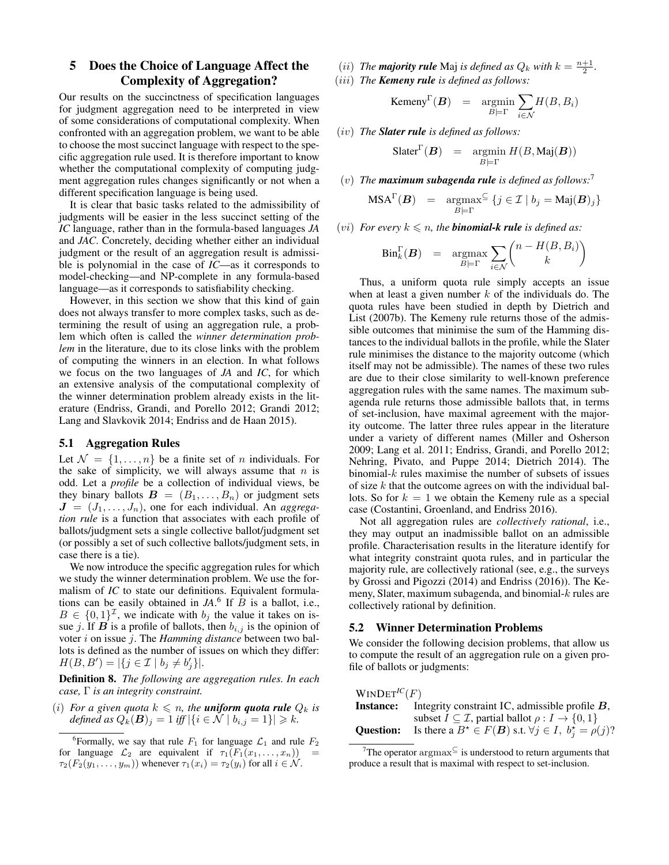## 5 Does the Choice of Language Affect the Complexity of Aggregation?

Our results on the succinctness of specification languages for judgment aggregation need to be interpreted in view of some considerations of computational complexity. When confronted with an aggregation problem, we want to be able to choose the most succinct language with respect to the specific aggregation rule used. It is therefore important to know whether the computational complexity of computing judgment aggregation rules changes significantly or not when a different specification language is being used.

It is clear that basic tasks related to the admissibility of judgments will be easier in the less succinct setting of the *IC* language, rather than in the formula-based languages *JA* and *JAC*. Concretely, deciding whether either an individual judgment or the result of an aggregation result is admissible is polynomial in the case of *IC*—as it corresponds to model-checking—and NP-complete in any formula-based language—as it corresponds to satisfiability checking.

However, in this section we show that this kind of gain does not always transfer to more complex tasks, such as determining the result of using an aggregation rule, a problem which often is called the *winner determination problem* in the literature, due to its close links with the problem of computing the winners in an election. In what follows we focus on the two languages of *JA* and *IC*, for which an extensive analysis of the computational complexity of the winner determination problem already exists in the literature (Endriss, Grandi, and Porello 2012; Grandi 2012; Lang and Slavkovik 2014; Endriss and de Haan 2015).

### 5.1 Aggregation Rules

Let  $\mathcal{N} = \{1, \ldots, n\}$  be a finite set of n individuals. For the sake of simplicity, we will always assume that  $n$  is odd. Let a *profile* be a collection of individual views, be they binary ballots  $\mathbf{B} = (B_1, \ldots, B_n)$  or judgment sets  $J = (J_1, \ldots, J_n)$ , one for each individual. An *aggregation rule* is a function that associates with each profile of ballots/judgment sets a single collective ballot/judgment set (or possibly a set of such collective ballots/judgment sets, in case there is a tie).

We now introduce the specific aggregation rules for which we study the winner determination problem. We use the formalism of *IC* to state our definitions. Equivalent formulations can be easily obtained in  $JA$ <sup>6</sup> If  $\overline{B}$  is a ballot, i.e.,  $B \in \{0,1\}^{\mathcal{I}}$ , we indicate with  $b_j$  the value it takes on issue j. If  $B$  is a profile of ballots, then  $b_{i,j}$  is the opinion of voter i on issue j. The *Hamming distance* between two ballots is defined as the number of issues on which they differ:  $H(B, B') = |\{j \in \mathcal{I} \mid b_j \neq b'_j\}|.$ 

Definition 8. *The following are aggregation rules. In each case,* Γ *is an integrity constraint.*

(*i*) *For a given quota*  $k \leq n$ , the **uniform quota rule**  $Q_k$  *is defined as*  $Q_k(B)_j = 1$  *iff*  $|\{i \in \mathcal{N} \mid b_{i,j} = 1\}| \ge k$ .

(*ii*) *The majority rule Maj is defined as*  $Q_k$  *with*  $k = \frac{n+1}{2}$ *.* (iii) *The Kemeny rule is defined as follows:*

$$
\text{Kemeny}^{\Gamma}(\boldsymbol{B}) = \operatorname{argmin}_{B \models \Gamma} \sum_{i \in \mathcal{N}} H(B, B_i)
$$

(iv) *The Slater rule is defined as follows:*

$$
Slater^{\Gamma}(\boldsymbol{B}) = \operatorname*{argmin}_{B\models \Gamma} H(B, \operatorname{Maj}(\boldsymbol{B}))
$$

(v) *The maximum subagenda rule is defined as follows:*<sup>7</sup>

$$
\text{MSA}^{\Gamma}(\boldsymbol{B}) = \operatorname*{argmax}_{B \models \Gamma} \{ j \in \mathcal{I} \mid b_j = \text{Maj}(\boldsymbol{B})_j \}
$$

(*vi*) *For every*  $k \le n$ *, the binomial-k rule is defined as:* 

$$
Bin_k^{\Gamma}(\boldsymbol{B}) = \operatorname*{argmax}_{B \models \Gamma} \sum_{i \in \mathcal{N}} {n - H(B, B_i) \choose k}
$$

Thus, a uniform quota rule simply accepts an issue when at least a given number  $k$  of the individuals do. The quota rules have been studied in depth by Dietrich and List (2007b). The Kemeny rule returns those of the admissible outcomes that minimise the sum of the Hamming distances to the individual ballots in the profile, while the Slater rule minimises the distance to the majority outcome (which itself may not be admissible). The names of these two rules are due to their close similarity to well-known preference aggregation rules with the same names. The maximum subagenda rule returns those admissible ballots that, in terms of set-inclusion, have maximal agreement with the majority outcome. The latter three rules appear in the literature under a variety of different names (Miller and Osherson 2009; Lang et al. 2011; Endriss, Grandi, and Porello 2012; Nehring, Pivato, and Puppe 2014; Dietrich 2014). The binomial- $k$  rules maximise the number of subsets of issues of size  $k$  that the outcome agrees on with the individual ballots. So for  $k = 1$  we obtain the Kemeny rule as a special case (Costantini, Groenland, and Endriss 2016).

Not all aggregation rules are *collectively rational*, i.e., they may output an inadmissible ballot on an admissible profile. Characterisation results in the literature identify for what integrity constraint quota rules, and in particular the majority rule, are collectively rational (see, e.g., the surveys by Grossi and Pigozzi (2014) and Endriss (2016)). The Kemeny, Slater, maximum subagenda, and binomial-k rules are collectively rational by definition.

#### 5.2 Winner Determination Problems

We consider the following decision problems, that allow us to compute the result of an aggregation rule on a given profile of ballots or judgments:

 $WINDET^{IC}(F)$ Instance: Integrity constraint IC, admissible profile B, subset  $I \subseteq \mathcal{I}$ , partial ballot  $\rho : I \to \{0, 1\}$ **Question:** Is there a  $B^* \in F(B)$  s.t.  $\forall j \in I$ ,  $b_j^* = \rho(j)$ ?

<sup>&</sup>lt;sup>6</sup>Formally, we say that rule  $F_1$  for language  $\mathcal{L}_1$  and rule  $F_2$ for language  $\mathcal{L}_2$  are equivalent if  $\tau_1(F_1(x_1, \ldots, x_n))$  $\tau_2(F_2(y_1,\ldots,y_m))$  whenever  $\tau_1(x_i)=\tau_2(y_i)$  for all  $i\in\mathcal{N}$ .

 $7$ The operator argmax $\subseteq$  is understood to return arguments that produce a result that is maximal with respect to set-inclusion.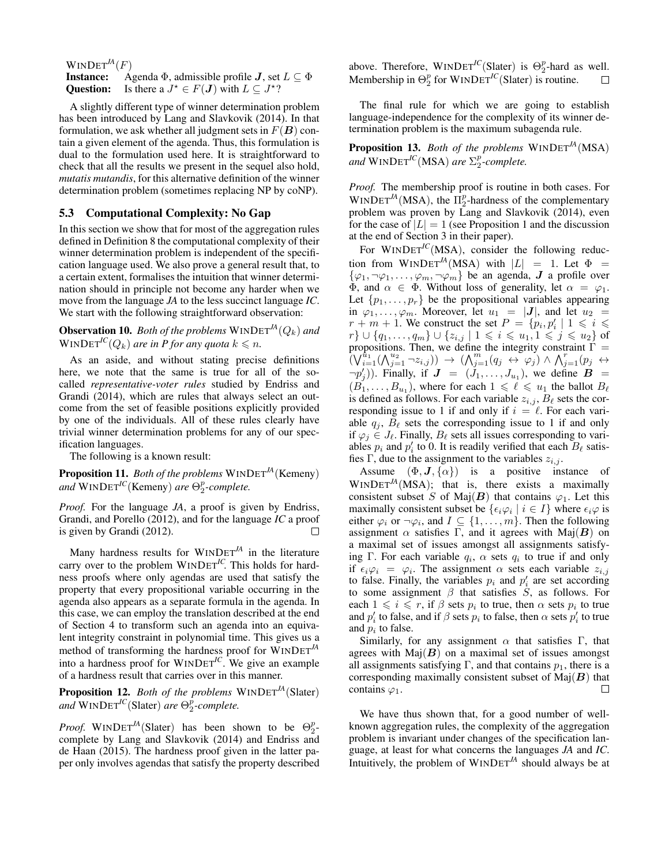### $WINDET^M(F)$

**Instance:** Agenda  $\Phi$ , admissible profile *J*, set  $L \subseteq \Phi$ Question: Is there a  $J^* \in F(J)$  with  $L \subseteq J^*$ ?

A slightly different type of winner determination problem has been introduced by Lang and Slavkovik (2014). In that formulation, we ask whether all judgment sets in  $F(B)$  contain a given element of the agenda. Thus, this formulation is dual to the formulation used here. It is straightforward to check that all the results we present in the sequel also hold, *mutatis mutandis*, for this alternative definition of the winner determination problem (sometimes replacing NP by coNP).

### 5.3 Computational Complexity: No Gap

In this section we show that for most of the aggregation rules defined in Definition 8 the computational complexity of their winner determination problem is independent of the specification language used. We also prove a general result that, to a certain extent, formalises the intuition that winner determination should in principle not become any harder when we move from the language *JA* to the less succinct language *IC*. We start with the following straightforward observation:

**Observation 10.** *Both of the problems*  $WINDET^{JA}(Q_k)$  *and*  $WINDET^{IC}(Q_k)$  *are in P for any quota*  $k \leq n$ .

As an aside, and without stating precise definitions here, we note that the same is true for all of the socalled *representative-voter rules* studied by Endriss and Grandi (2014), which are rules that always select an outcome from the set of feasible positions explicitly provided by one of the individuals. All of these rules clearly have trivial winner determination problems for any of our specification languages.

The following is a known result:

Proposition 11. *Both of the problems* WINDET*JA*(Kemeny)  $and$   $WINDET^{IC}$ (Kemeny) *are*  $\Theta_2^p$ -complete.

*Proof.* For the language *JA*, a proof is given by Endriss, Grandi, and Porello (2012), and for the language *IC* a proof is given by Grandi (2012). П

Many hardness results for WINDET*JA* in the literature carry over to the problem WINDET<sup>IC</sup>. This holds for hardness proofs where only agendas are used that satisfy the property that every propositional variable occurring in the agenda also appears as a separate formula in the agenda. In this case, we can employ the translation described at the end of Section 4 to transform such an agenda into an equivalent integrity constraint in polynomial time. This gives us a method of transforming the hardness proof for WINDET*JA* into a hardness proof for WINDET*IC*. We give an example of a hardness result that carries over in this manner.

Proposition 12. *Both of the problems* WINDET*JA*(Slater)  $and$   $WINDET^{IC}$ (Slater) *are*  $\Theta_2^p$ -*complete.* 

*Proof.* WINDET<sup>JA</sup>(Slater) has been shown to be  $\Theta_2^p$ complete by Lang and Slavkovik (2014) and Endriss and de Haan (2015). The hardness proof given in the latter paper only involves agendas that satisfy the property described above. Therefore,  $WINDET^{IC}(Slater)$  is  $\Theta_2^p$ -hard as well. Membership in  $\Theta_2^p$  for WINDET<sup>IC</sup>(Slater) is routine.

The final rule for which we are going to establish language-independence for the complexity of its winner determination problem is the maximum subagenda rule.

Proposition 13. *Both of the problems* WINDET*JA*(MSA)  $and$   $WINDET^{IC}(MSA)$  *are*  $\Sigma_2^p$ -complete.

*Proof.* The membership proof is routine in both cases. For  $WINDET<sup>JA</sup>(MSA)$ , the  $\Pi_2^p$ -hardness of the complementary problem was proven by Lang and Slavkovik (2014), even for the case of  $|L| = 1$  (see Proposition 1 and the discussion at the end of Section 3 in their paper).

For WINDET<sup>IC</sup>(MSA), consider the following reduction from WINDET<sup>*JA*</sup>(MSA) with  $|L| = 1$ . Let  $\Phi =$  $\{\varphi_1, \neg \varphi_1, \dots, \varphi_m, \neg \varphi_m\}$  be an agenda,  $J$  a profile over  $\Phi$ , and  $\alpha \in \Phi$ . Without loss of generality, let  $\alpha = \varphi_1$ . Let  $\{p_1, \ldots, p_r\}$  be the propositional variables appearing in  $\varphi_1, \ldots, \varphi_m$ . Moreover, let  $u_1 = |J|$ , and let  $u_2 =$  $r + m + 1$ . We construct the set  $P = \{p_i, p'_i \mid 1 \leq i \leq n\}$  $r\} \cup \{q_1, \ldots, q_m\} \cup \{z_{i,j} \mid 1 \leq i \leq u_1, 1 \leq j \leq u_2\}$  of propositions. Then, we define the integrity constraint  $\Gamma =$  $(\bigvee_{i=1}^{t_1}(\bigwedge_{j=1}^{u_2}\neg z_{i,j}))\rightarrow (\bigwedge_{j=1}^{m}(q_j \leftrightarrow \varphi_j)\wedge \bigwedge_{j=1}^{r}(p_j \leftrightarrow \varphi_j))$  $\neg p'_j$ )). Finally, if  $J = (J_1, \ldots, J_{u_1})$ , we define  $B =$  $(B_1, \ldots, B_{u_1})$ , where for each  $1 \leq \ell \leq u_1$  the ballot  $B_\ell$ is defined as follows. For each variable  $z_{i,j}$ ,  $B_{\ell}$  sets the corresponding issue to 1 if and only if  $i = \ell$ . For each variable  $q_i$ ,  $B_\ell$  sets the corresponding issue to 1 if and only if  $\varphi_i \in J_\ell$ . Finally,  $B_\ell$  sets all issues corresponding to variables  $p_i$  and  $p'_i$  to 0. It is readily verified that each  $B_\ell$  satisfies Γ, due to the assignment to the variables  $z_{i,j}$ .

Assume  $(\Phi, J, {\alpha})$  is a positive instance of  $WINDET<sup>JA</sup>(MSA)$ ; that is, there exists a maximally consistent subset S of Maj $(B)$  that contains  $\varphi_1$ . Let this maximally consistent subset be  $\{\epsilon_i\varphi_i \mid i \in I\}$  where  $\epsilon_i\varphi$  is either  $\varphi_i$  or  $\neg \varphi_i$ , and  $I \subseteq \{1, \ldots, m\}$ . Then the following assignment  $\alpha$  satisfies Γ, and it agrees with Maj(B) on a maximal set of issues amongst all assignments satisfying Γ. For each variable  $q_i$ ,  $\alpha$  sets  $q_i$  to true if and only if  $\epsilon_i \varphi_i = \varphi_i$ . The assignment  $\alpha$  sets each variable  $z_{i,j}$ to false. Finally, the variables  $p_i$  and  $p'_i$  are set according to some assignment  $\beta$  that satisfies  $\ddot{S}$ , as follows. For each  $1 \leq i \leq r$ , if  $\beta$  sets  $p_i$  to true, then  $\alpha$  sets  $p_i$  to true and  $p'_i$  to false, and if  $\beta$  sets  $p_i$  to false, then  $\alpha$  sets  $p'_i$  to true and  $p_i$  to false.

Similarly, for any assignment  $\alpha$  that satisfies Γ, that agrees with  $\text{Maj}(B)$  on a maximal set of issues amongst all assignments satisfying Γ, and that contains  $p_1$ , there is a corresponding maximally consistent subset of  $\text{Maj}(B)$  that contains  $\varphi_1$ .  $\Box$ 

We have thus shown that, for a good number of wellknown aggregation rules, the complexity of the aggregation problem is invariant under changes of the specification language, at least for what concerns the languages *JA* and *IC*. Intuitively, the problem of  $WINDET<sup>JA</sup>$  should always be at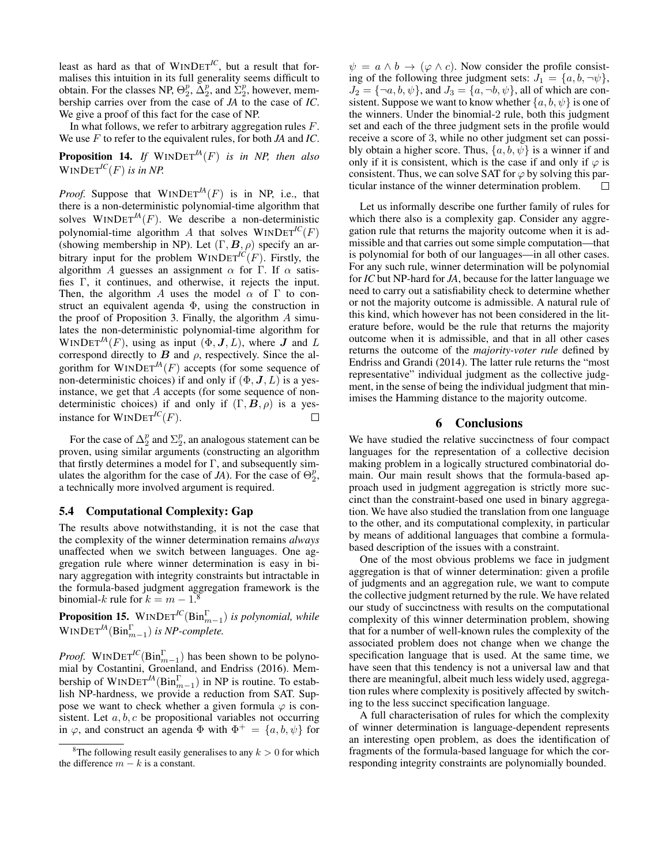least as hard as that of  $WINDET^{IC}$ , but a result that formalises this intuition in its full generality seems difficult to obtain. For the classes NP,  $\Theta_2^p$ ,  $\tilde{\Delta}_2^p$ , and  $\tilde{\Sigma}_2^p$ , however, membership carries over from the case of *JA* to the case of *IC*. We give a proof of this fact for the case of NP.

In what follows, we refer to arbitrary aggregation rules  $F$ . We use F to refer to the equivalent rules, for both *JA* and *IC*.

Proposition 14. *If* WINDET*JA*(F) *is in NP, then also*  $WINDET^{IC}(F)$  *is in NP.* 

*Proof.* Suppose that  $WINDET^{M}(F)$  is in NP, i.e., that there is a non-deterministic polynomial-time algorithm that solves  $WINDET<sup>JA</sup>(F)$ . We describe a non-deterministic polynomial-time algorithm A that solves  $WINDET^{IC}(F)$ (showing membership in NP). Let  $(\Gamma, \mathbf{B}, \rho)$  specify an arbitrary input for the problem  $WINDET^{IC}(F)$ . Firstly, the algorithm A guesses an assignment  $\alpha$  for Γ. If  $\alpha$  satisfies Γ, it continues, and otherwise, it rejects the input. Then, the algorithm A uses the model  $\alpha$  of  $\Gamma$  to construct an equivalent agenda Φ, using the construction in the proof of Proposition 3. Finally, the algorithm  $A$  simulates the non-deterministic polynomial-time algorithm for WINDET<sup>*JA*</sup>(*F*), using as input  $(\Phi, J, L)$ , where *J* and *L* correspond directly to  $B$  and  $\rho$ , respectively. Since the algorithm for  $WINDET<sup>JA</sup>(F)$  accepts (for some sequence of non-deterministic choices) if and only if  $(\Phi, \mathbf{J}, L)$  is a yesinstance, we get that A accepts (for some sequence of nondeterministic choices) if and only if  $(\Gamma, \mathbf{B}, \rho)$  is a yesinstance for  $WINDET^{IC}(F)$ .  $\Box$ 

For the case of  $\Delta_2^p$  and  $\Sigma_2^p$ , an analogous statement can be proven, using similar arguments (constructing an algorithm that firstly determines a model for Γ, and subsequently simulates the algorithm for the case of  $JA$ ). For the case of  $\Theta_2^p$ , a technically more involved argument is required.

### 5.4 Computational Complexity: Gap

The results above notwithstanding, it is not the case that the complexity of the winner determination remains *always* unaffected when we switch between languages. One aggregation rule where winner determination is easy in binary aggregation with integrity constraints but intractable in the formula-based judgment aggregation framework is the binomial-k rule for  $k = m - 1$ .<sup>8</sup>

**Proposition 15.** WINDET<sup>IC</sup>( $\text{Bin}_{m-1}^{\Gamma}$ ) is polynomial, while  $\text{W}\text{INDET}^{\text{JA}}(\text{Bin}_{m-1}^{\Gamma})$  *is NP-complete.* 

*Proof.* WINDET<sup>IC</sup>( $\text{Bin}_{m-1}^{\Gamma}$ ) has been shown to be polynomial by Costantini, Groenland, and Endriss (2016). Membership of  $WINDET^{IA}(Bin_{m-1}^{\Gamma})$  in NP is routine. To establish NP-hardness, we provide a reduction from SAT. Suppose we want to check whether a given formula  $\varphi$  is consistent. Let  $a, b, c$  be propositional variables not occurring in  $\varphi$ , and construct an agenda  $\Phi$  with  $\Phi^+ = \{a, b, \psi\}$  for

 $\psi = a \wedge b \rightarrow (\varphi \wedge c)$ . Now consider the profile consisting of the following three judgment sets:  $J_1 = \{a, b, \neg \psi\},\$  $J_2 = \{\neg a, b, \psi\}$ , and  $J_3 = \{a, \neg b, \psi\}$ , all of which are consistent. Suppose we want to know whether  $\{a, b, \psi\}$  is one of the winners. Under the binomial-2 rule, both this judgment set and each of the three judgment sets in the profile would receive a score of 3, while no other judgment set can possibly obtain a higher score. Thus,  $\{a, b, \psi\}$  is a winner if and only if it is consistent, which is the case if and only if  $\varphi$  is consistent. Thus, we can solve SAT for  $\varphi$  by solving this particular instance of the winner determination problem. П

Let us informally describe one further family of rules for which there also is a complexity gap. Consider any aggregation rule that returns the majority outcome when it is admissible and that carries out some simple computation—that is polynomial for both of our languages—in all other cases. For any such rule, winner determination will be polynomial for *IC* but NP-hard for *JA*, because for the latter language we need to carry out a satisfiability check to determine whether or not the majority outcome is admissible. A natural rule of this kind, which however has not been considered in the literature before, would be the rule that returns the majority outcome when it is admissible, and that in all other cases returns the outcome of the *majority-voter rule* defined by Endriss and Grandi (2014). The latter rule returns the "most representative" individual judgment as the collective judgment, in the sense of being the individual judgment that minimises the Hamming distance to the majority outcome.

### 6 Conclusions

We have studied the relative succinctness of four compact languages for the representation of a collective decision making problem in a logically structured combinatorial domain. Our main result shows that the formula-based approach used in judgment aggregation is strictly more succinct than the constraint-based one used in binary aggregation. We have also studied the translation from one language to the other, and its computational complexity, in particular by means of additional languages that combine a formulabased description of the issues with a constraint.

One of the most obvious problems we face in judgment aggregation is that of winner determination: given a profile of judgments and an aggregation rule, we want to compute the collective judgment returned by the rule. We have related our study of succinctness with results on the computational complexity of this winner determination problem, showing that for a number of well-known rules the complexity of the associated problem does not change when we change the specification language that is used. At the same time, we have seen that this tendency is not a universal law and that there are meaningful, albeit much less widely used, aggregation rules where complexity is positively affected by switching to the less succinct specification language.

A full characterisation of rules for which the complexity of winner determination is language-dependent represents an interesting open problem, as does the identification of fragments of the formula-based language for which the corresponding integrity constraints are polynomially bounded.

<sup>&</sup>lt;sup>8</sup>The following result easily generalises to any  $k > 0$  for which the difference  $m - k$  is a constant.